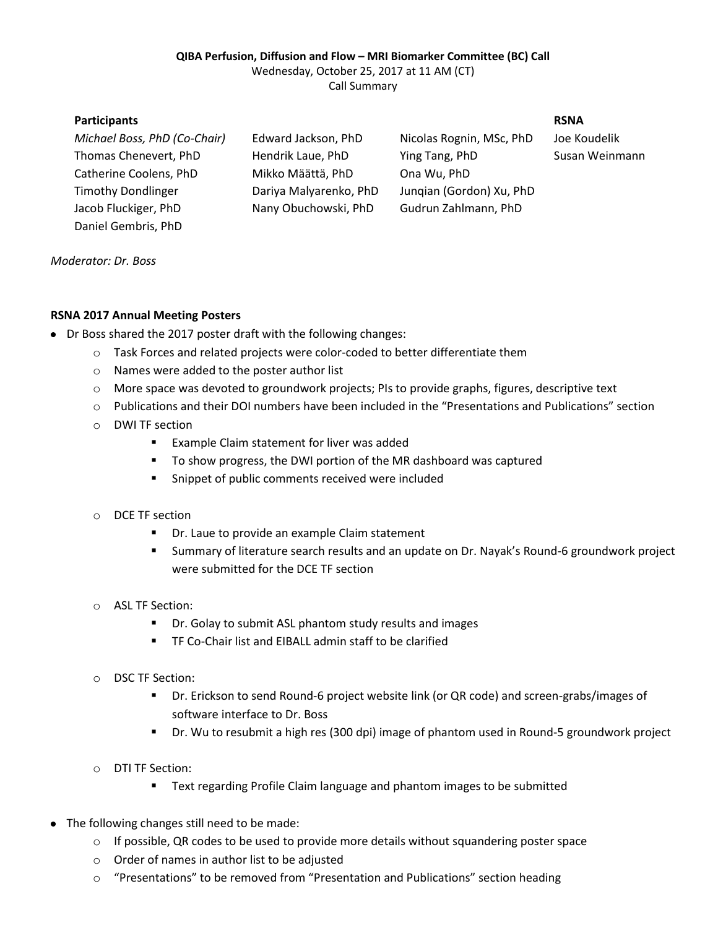## **QIBA Perfusion, Diffusion and Flow – MRI Biomarker Committee (BC) Call**

Wednesday, October 25, 2017 at 11 AM (CT) Call Summary

**Participants RSNA**

*Michael Boss, PhD (Co-Chair)* Edward Jackson, PhD Nicolas Rognin, MSc, PhD Joe Koudelik Thomas Chenevert, PhD Hendrik Laue, PhD Ying Tang, PhD Susan Weinmann Catherine Coolens, PhD Mikko Määttä, PhD Ona Wu, PhD Timothy Dondlinger Dariya Malyarenko, PhD Junqian (Gordon) Xu, PhD Jacob Fluckiger, PhD Nany Obuchowski, PhD Gudrun Zahlmann, PhD

*Moderator: Dr. Boss*

Daniel Gembris, PhD

## **RSNA 2017 Annual Meeting Posters**

- Dr Boss shared the 2017 poster draft with the following changes:
	- o Task Forces and related projects were color-coded to better differentiate them
	- o Names were added to the poster author list
	- o More space was devoted to groundwork projects; PIs to provide graphs, figures, descriptive text
	- o Publications and their DOI numbers have been included in the "Presentations and Publications" section
	- o DWI TF section
		- **Example Claim statement for liver was added**
		- To show progress, the DWI portion of the MR dashboard was captured
		- **EXECUTE:** Snippet of public comments received were included
	- o DCE TF section
		- **P** Dr. Laue to provide an example Claim statement
		- Summary of literature search results and an update on Dr. Nayak's Round-6 groundwork project were submitted for the DCE TF section
	- o ASL TF Section:
		- **•** Dr. Golay to submit ASL phantom study results and images
		- TF Co-Chair list and EIBALL admin staff to be clarified
	- o DSC TF Section:
		- Dr. Erickson to send Round-6 project website link (or QR code) and screen-grabs/images of software interface to Dr. Boss
		- Dr. Wu to resubmit a high res (300 dpi) image of phantom used in Round-5 groundwork project
	- o DTI TF Section:
		- **Text regarding Profile Claim language and phantom images to be submitted**
- The following changes still need to be made:
	- $\circ$  If possible, QR codes to be used to provide more details without squandering poster space
	- o Order of names in author list to be adjusted
	- $\circ$  "Presentations" to be removed from "Presentation and Publications" section heading